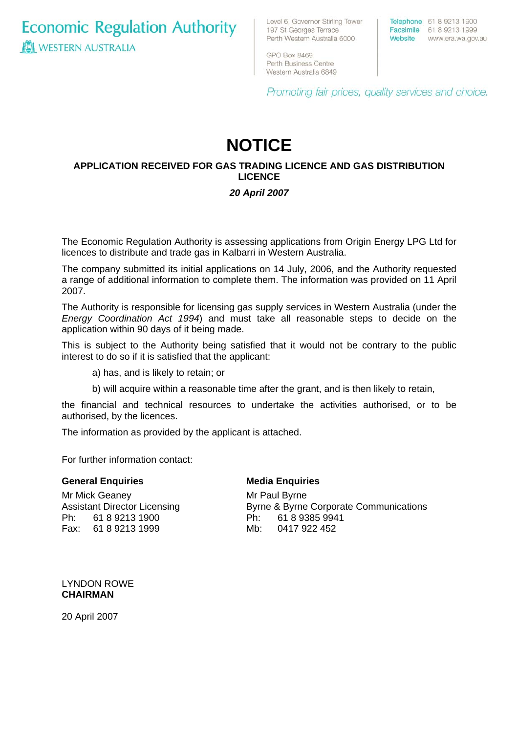**Economic Regulation Authority WESTERN AUSTRALIA** 

Level 6, Governor Stirling Tower 197 St Georges Terrace Perth Western Australia 6000

Telephone 61 8 9213 1900 Facsimile 61 8 9213 1999 Website www.era.wa.gov.au

GPO Box 8469 Perth Business Centre Western Australia 6849

Promoting fair prices, quality services and choice.

# **NOTICE**

### **APPLICATION RECEIVED FOR GAS TRADING LICENCE AND GAS DISTRIBUTION LICENCE**

## *20 April 2007*

The Economic Regulation Authority is assessing applications from Origin Energy LPG Ltd for licences to distribute and trade gas in Kalbarri in Western Australia.

The company submitted its initial applications on 14 July, 2006, and the Authority requested a range of additional information to complete them. The information was provided on 11 April 2007.

The Authority is responsible for licensing gas supply services in Western Australia (under the *Energy Coordination Act 1994*) and must take all reasonable steps to decide on the application within 90 days of it being made.

This is subject to the Authority being satisfied that it would not be contrary to the public interest to do so if it is satisfied that the applicant:

a) has, and is likely to retain; or

b) will acquire within a reasonable time after the grant, and is then likely to retain,

the financial and technical resources to undertake the activities authorised, or to be authorised, by the licences.

The information as provided by the applicant is attached.

For further information contact:

#### **General Enquiries**

#### **Media Enquiries**

Mr Mick Geaney Assistant Director Licensing Ph: 61 8 9213 1900 Fax: 61 8 9213 1999

Mr Paul Byrne Byrne & Byrne Corporate Communications Ph: 61 8 9385 9941 Mb: 0417 922 452

LYNDON ROWE **CHAIRMAN** 

20 April 2007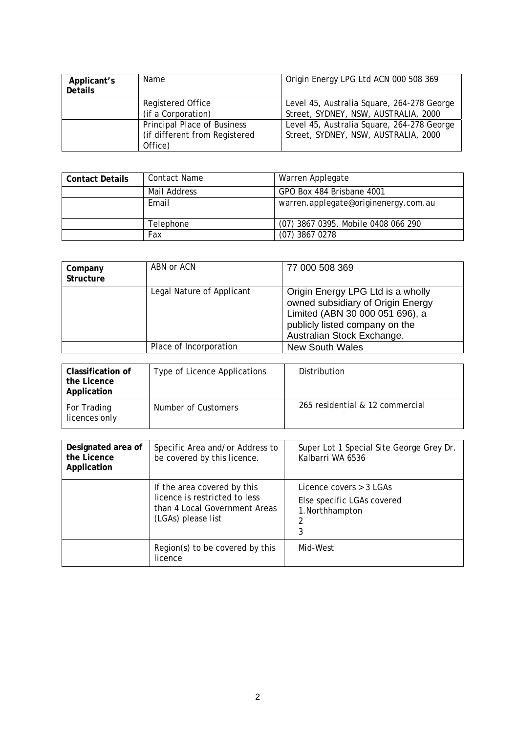| Applicant's<br><b>Details</b> | Name                                                                           | Origin Energy LPG Ltd ACN 000 508 369                                              |
|-------------------------------|--------------------------------------------------------------------------------|------------------------------------------------------------------------------------|
|                               | Registered Office<br>(if a Corporation)                                        | Level 45, Australia Square, 264-278 George<br>Street, SYDNEY, NSW, AUSTRALIA, 2000 |
|                               | <b>Principal Place of Business</b><br>(if different from Registered<br>Office) | Level 45, Australia Square, 264-278 George<br>Street, SYDNEY, NSW, AUSTRALIA, 2000 |

| <b>Contact Details</b> | Contact Name | Warren Applegate                     |
|------------------------|--------------|--------------------------------------|
|                        | Mail Address | GPO Box 484 Brisbane 4001            |
|                        | Email        | warren.applegate@originenergy.com.au |
|                        | Telephone    | (07) 3867 0395, Mobile 0408 066 290  |
|                        | Fax          | $(07)$ 3867 0278                     |

| Company<br>Structure | ABN or ACN                | 77 000 508 369                                                                                                                                                            |
|----------------------|---------------------------|---------------------------------------------------------------------------------------------------------------------------------------------------------------------------|
|                      | Legal Nature of Applicant | Origin Energy LPG Ltd is a wholly<br>owned subsidiary of Origin Energy<br>Limited (ABN 30 000 051 696), a<br>publicly listed company on the<br>Australian Stock Exchange. |
|                      | Place of Incorporation    | <b>New South Wales</b>                                                                                                                                                    |

| Classification of<br>the Licence<br>Application | Type of Licence Applications | Distribution                    |
|-------------------------------------------------|------------------------------|---------------------------------|
| For Trading<br>licences only                    | Number of Customers          | 265 residential & 12 commercial |

| Designated area of<br>the Licence<br>Application | Specific Area and/or Address to<br>be covered by this licence.                                                      | Super Lot 1 Special Site George Grey Dr.<br>Kalbarri WA 6536                         |
|--------------------------------------------------|---------------------------------------------------------------------------------------------------------------------|--------------------------------------------------------------------------------------|
|                                                  | If the area covered by this<br>licence is restricted to less<br>than 4 Local Government Areas<br>(LGAs) please list | Licence covers $>$ 3 LGAs<br>Else specific LGAs covered<br>1. Northhampton<br>2<br>3 |
|                                                  | Region(s) to be covered by this<br>licence                                                                          | Mid-West                                                                             |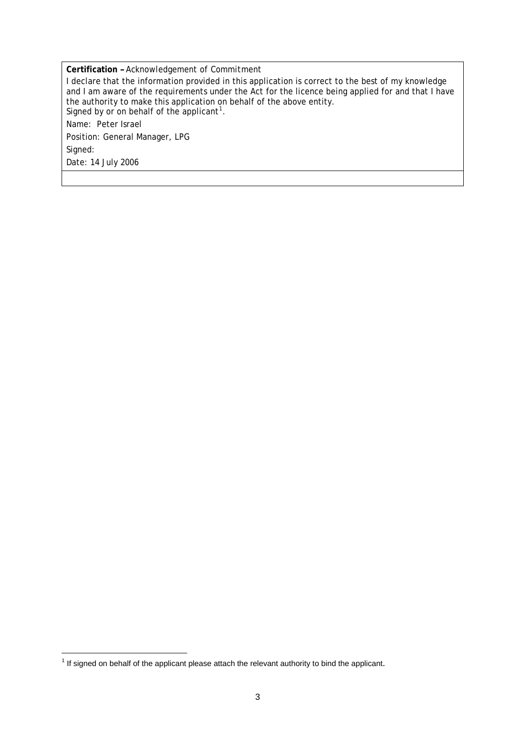**Certification** *– Acknowledgement of Commitment* 

I declare that the information provided in this application is correct to the best of my knowledge and I am aware of the requirements under the Act for the licence being applied for and that I have the authority to make this application on behalf of the above entity. Signed by or on behalf of the applicant<sup>[1](#page-2-0)</sup>. Name: Peter Israel Position: General Manager, LPG Signed: Date: 14 July 2006

<span id="page-2-0"></span> $1$  If signed on behalf of the applicant please attach the relevant authority to bind the applicant.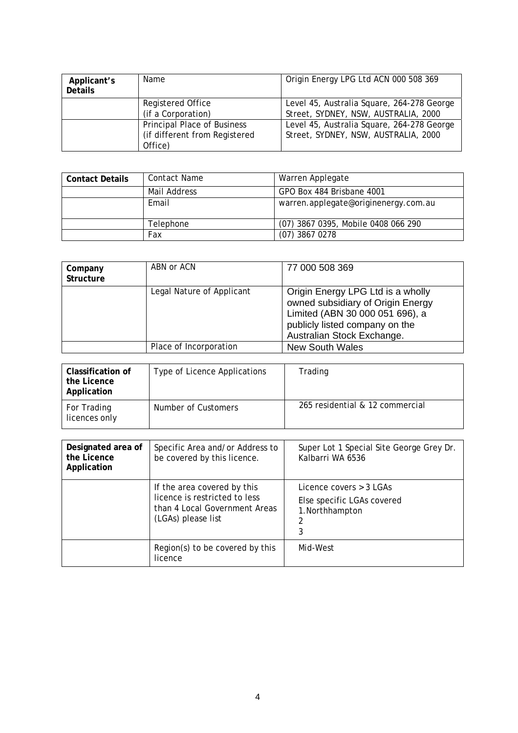| Applicant's<br><b>Details</b> | Name                                                                           | Origin Energy LPG Ltd ACN 000 508 369                                              |
|-------------------------------|--------------------------------------------------------------------------------|------------------------------------------------------------------------------------|
|                               | Registered Office<br>(if a Corporation)                                        | Level 45, Australia Square, 264-278 George<br>Street, SYDNEY, NSW, AUSTRALIA, 2000 |
|                               | <b>Principal Place of Business</b><br>(if different from Registered<br>Office) | Level 45, Australia Square, 264-278 George<br>Street, SYDNEY, NSW, AUSTRALIA, 2000 |

| <b>Contact Details</b> | Contact Name | Warren Applegate                     |
|------------------------|--------------|--------------------------------------|
|                        | Mail Address | GPO Box 484 Brisbane 4001            |
|                        | Email        | warren.applegate@originenergy.com.au |
|                        | Telephone    | (07) 3867 0395, Mobile 0408 066 290  |
|                        | Fax          | $(07)$ 3867 0278                     |

| Company<br>Structure | ABN or ACN                | 77 000 508 369                                                                                                                                                            |
|----------------------|---------------------------|---------------------------------------------------------------------------------------------------------------------------------------------------------------------------|
|                      | Legal Nature of Applicant | Origin Energy LPG Ltd is a wholly<br>owned subsidiary of Origin Energy<br>Limited (ABN 30 000 051 696), a<br>publicly listed company on the<br>Australian Stock Exchange. |
|                      | Place of Incorporation    | <b>New South Wales</b>                                                                                                                                                    |

| Classification of<br>the Licence<br>Application | Type of Licence Applications | Trading                         |
|-------------------------------------------------|------------------------------|---------------------------------|
| For Trading<br>licences only                    | Number of Customers          | 265 residential & 12 commercial |

| Designated area of<br>the Licence<br>Application | Specific Area and/or Address to<br>be covered by this licence.                                                      | Super Lot 1 Special Site George Grey Dr.<br>Kalbarri WA 6536                         |
|--------------------------------------------------|---------------------------------------------------------------------------------------------------------------------|--------------------------------------------------------------------------------------|
|                                                  | If the area covered by this<br>licence is restricted to less<br>than 4 Local Government Areas<br>(LGAs) please list | Licence covers $>$ 3 LGAs<br>Else specific LGAs covered<br>1. Northhampton<br>2<br>3 |
|                                                  | Region(s) to be covered by this<br>licence                                                                          | Mid-West                                                                             |